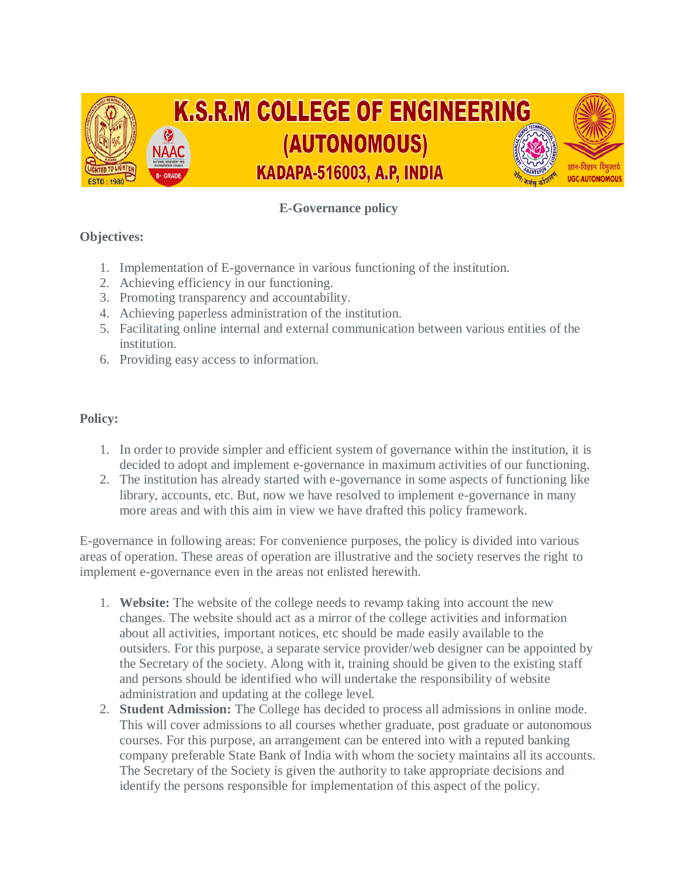

## **E-Governance policy**

## **Objectives:**

- 1. Implementation of E-governance in various functioning of the institution.
- 2. Achieving efficiency in our functioning.
- 3. Promoting transparency and accountability.
- 4. Achieving paperless administration of the institution.
- 5. Facilitating online internal and external communication between various entities of the institution.
- 6. Providing easy access to information.

## **Policy:**

- 1. In order to provide simpler and efficient system of governance within the institution, it is decided to adopt and implement e-governance in maximum activities of our functioning.
- 2. The institution has already started with e-governance in some aspects of functioning like library, accounts, etc. But, now we have resolved to implement e-governance in many more areas and with this aim in view we have drafted this policy framework.

E-governance in following areas: For convenience purposes, the policy is divided into various areas of operation. These areas of operation are illustrative and the society reserves the right to implement e-governance even in the areas not enlisted herewith.

- 1. **Website:** The website of the college needs to revamp taking into account the new changes. The website should act as a mirror of the college activities and information about all activities, important notices, etc should be made easily available to the outsiders. For this purpose, a separate service provider/web designer can be appointed by the Secretary of the society. Along with it, training should be given to the existing staff and persons should be identified who will undertake the responsibility of website administration and updating at the college level.
- 2. **Student Admission:** The College has decided to process all admissions in online mode. This will cover admissions to all courses whether graduate, post graduate or autonomous courses. For this purpose, an arrangement can be entered into with a reputed banking company preferable State Bank of India with whom the society maintains all its accounts. The Secretary of the Society is given the authority to take appropriate decisions and identify the persons responsible for implementation of this aspect of the policy.